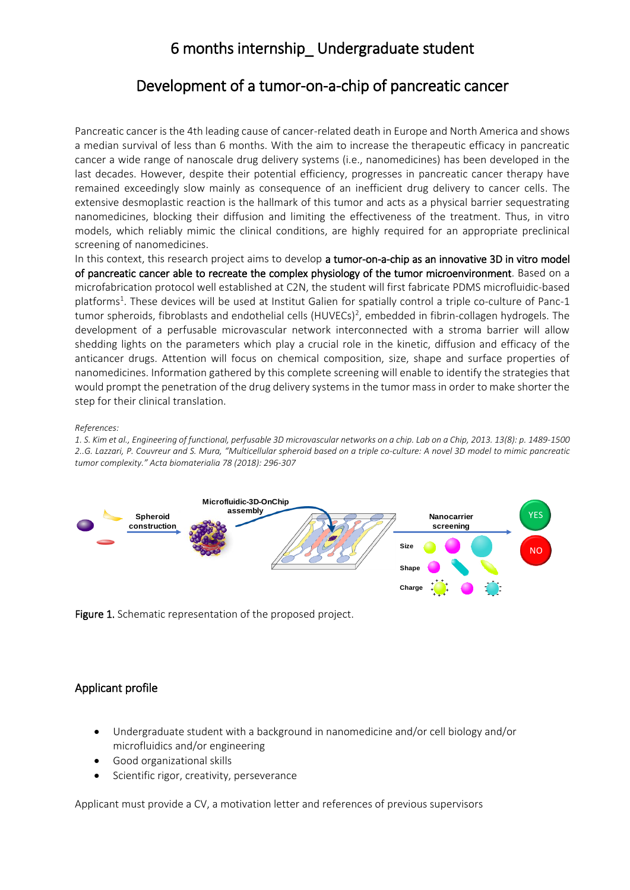## 6 months internship\_ Undergraduate student

### Development of a tumor-on-a-chip of pancreatic cancer

Pancreatic cancer is the 4th leading cause of cancer-related death in Europe and North America and shows a median survival of less than 6 months. With the aim to increase the therapeutic efficacy in pancreatic cancer a wide range of nanoscale drug delivery systems (i.e., nanomedicines) has been developed in the last decades. However, despite their potential efficiency, progresses in pancreatic cancer therapy have remained exceedingly slow mainly as consequence of an inefficient drug delivery to cancer cells. The extensive desmoplastic reaction is the hallmark of this tumor and acts as a physical barrier sequestrating nanomedicines, blocking their diffusion and limiting the effectiveness of the treatment. Thus, in vitro models, which reliably mimic the clinical conditions, are highly required for an appropriate preclinical screening of nanomedicines.

In this context, this research project aims to develop a tumor-on-a-chip as an innovative 3D in vitro model of pancreatic cancer able to recreate the complex physiology of the tumor microenvironment. Based on a microfabrication protocol well established at C2N, the student will first fabricate PDMS microfluidic-based platforms 1 . These devices will be used at Institut Galien for spatially control a triple co-culture of Panc-1 tumor spheroids, fibroblasts and endothelial cells (HUVECs)<sup>2</sup>, embedded in fibrin-collagen hydrogels. The development of a perfusable microvascular network interconnected with a stroma barrier will allow shedding lights on the parameters which play a crucial role in the kinetic, diffusion and efficacy of the anticancer drugs. Attention will focus on chemical composition, size, shape and surface properties of nanomedicines. Information gathered by this complete screening will enable to identify the strategies that would prompt the penetration of the drug delivery systems in the tumor mass in order to make shorter the step for their clinical translation.

*References:*

*1. S. Kim et al., Engineering of functional, perfusable 3D microvascular networks on a chip. Lab on a Chip, 2013. 13(8): p. 1489-1500 2..G. Lazzari, P. Couvreur and S. Mura, "Multicellular spheroid based on a triple co-culture: A novel 3D model to mimic pancreatic tumor complexity." Acta biomaterialia 78 (2018): 296-307*



Figure 1. Schematic representation of the proposed project.

#### Applicant profile

- Undergraduate student with a background in nanomedicine and/or cell biology and/or microfluidics and/or engineering
- Good organizational skills
- Scientific rigor, creativity, perseverance

Applicant must provide a CV, a motivation letter and references of previous supervisors